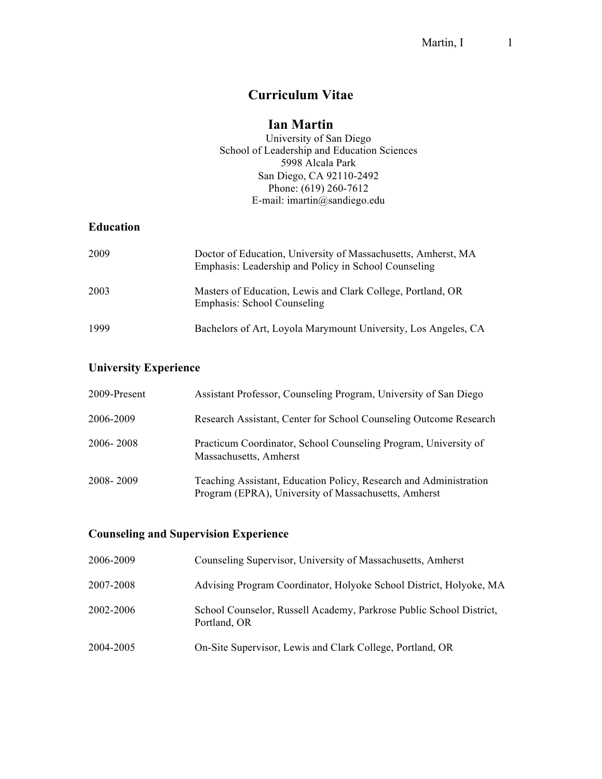# **Curriculum Vitae**

# **Ian Martin**

University of San Diego School of Leadership and Education Sciences 5998 Alcala Park San Diego, CA 92110-2492 Phone: (619) 260-7612 E-mail: imartin@sandiego.edu

# **Education**

| 2009 | Doctor of Education, University of Massachusetts, Amherst, MA<br>Emphasis: Leadership and Policy in School Counseling |
|------|-----------------------------------------------------------------------------------------------------------------------|
| 2003 | Masters of Education, Lewis and Clark College, Portland, OR<br>Emphasis: School Counseling                            |
| 1999 | Bachelors of Art, Loyola Marymount University, Los Angeles, CA                                                        |

# **University Experience**

| 2009-Present | Assistant Professor, Counseling Program, University of San Diego                                                          |
|--------------|---------------------------------------------------------------------------------------------------------------------------|
| 2006-2009    | Research Assistant, Center for School Counseling Outcome Research                                                         |
| 2006-2008    | Practicum Coordinator, School Counseling Program, University of<br>Massachusetts, Amherst                                 |
| 2008-2009    | Teaching Assistant, Education Policy, Research and Administration<br>Program (EPRA), University of Massachusetts, Amherst |

# **Counseling and Supervision Experience**

| 2006-2009 | Counseling Supervisor, University of Massachusetts, Amherst                         |
|-----------|-------------------------------------------------------------------------------------|
| 2007-2008 | Advising Program Coordinator, Holyoke School District, Holyoke, MA                  |
| 2002-2006 | School Counselor, Russell Academy, Parkrose Public School District,<br>Portland, OR |
| 2004-2005 | On-Site Supervisor, Lewis and Clark College, Portland, OR                           |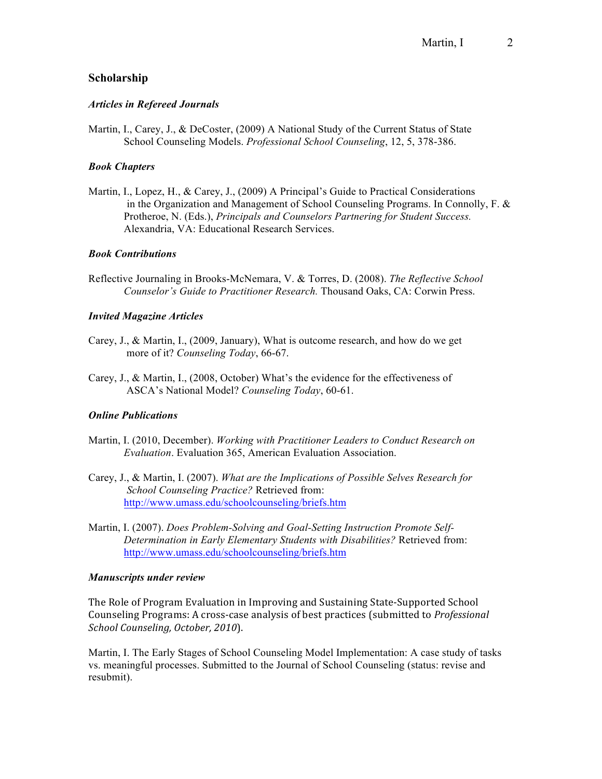# **Scholarship**

### *Articles in Refereed Journals*

Martin, I., Carey, J., & DeCoster, (2009) A National Study of the Current Status of State School Counseling Models. *Professional School Counseling*, 12, 5, 378-386.

### *Book Chapters*

Martin, I., Lopez, H., & Carey, J., (2009) A Principal's Guide to Practical Considerations in the Organization and Management of School Counseling Programs. In Connolly, F. & Protheroe, N. (Eds.), *Principals and Counselors Partnering for Student Success.*  Alexandria, VA: Educational Research Services.

### *Book Contributions*

Reflective Journaling in Brooks-McNemara, V. & Torres, D. (2008). *The Reflective School Counselor's Guide to Practitioner Research.* Thousand Oaks, CA: Corwin Press.

### *Invited Magazine Articles*

- Carey, J., & Martin, I., (2009, January), What is outcome research, and how do we get more of it? *Counseling Today*, 66-67.
- Carey, J., & Martin, I., (2008, October) What's the evidence for the effectiveness of ASCA's National Model? *Counseling Today*, 60-61.

### *Online Publications*

- Martin, I. (2010, December). *Working with Practitioner Leaders to Conduct Research on Evaluation*. Evaluation 365, American Evaluation Association.
- Carey, J., & Martin, I. (2007). *What are the Implications of Possible Selves Research for School Counseling Practice?* Retrieved from: http://www.umass.edu/schoolcounseling/briefs.htm
- Martin, I. (2007). *Does Problem-Solving and Goal-Setting Instruction Promote Self-Determination in Early Elementary Students with Disabilities?* Retrieved from: http://www.umass.edu/schoolcounseling/briefs.htm

#### *Manuscripts under review*

The Role of Program Evaluation in Improving and Sustaining State-Supported School Counseling Programs: A cross-case analysis of best practices (submitted to *Professional School+Counseling,+October,+2010*).

Martin, I. The Early Stages of School Counseling Model Implementation: A case study of tasks vs. meaningful processes. Submitted to the Journal of School Counseling (status: revise and resubmit).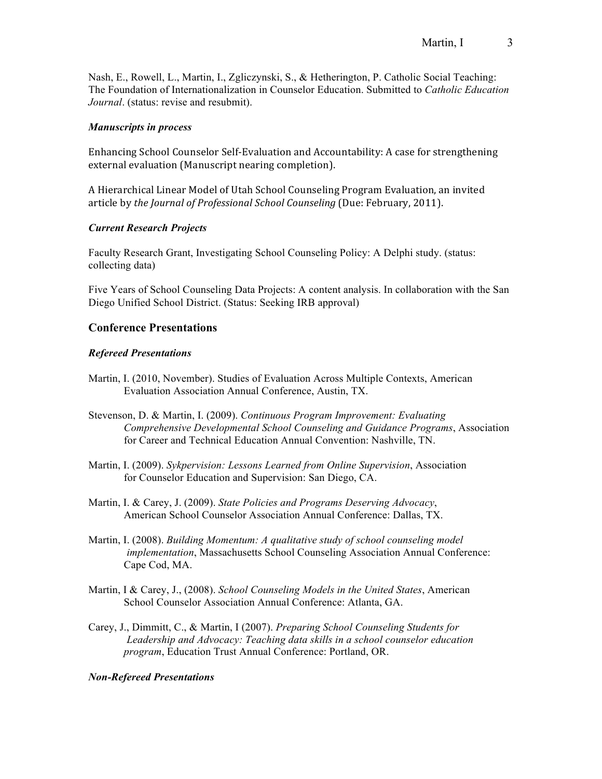Nash, E., Rowell, L., Martin, I., Zgliczynski, S., & Hetherington, P. Catholic Social Teaching: The Foundation of Internationalization in Counselor Education. Submitted to *Catholic Education Journal*. (status: revise and resubmit).

### *Manuscripts in process*

Enhancing School Counselor Self-Evaluation and Accountability: A case for strengthening external evaluation (Manuscript nearing completion).

A Hierarchical Linear Model of Utah School Counseling Program Evaluation, an invited article by *the Journal of Professional School Counseling* (Due: February, 2011).

# *Current Research Projects*

Faculty Research Grant, Investigating School Counseling Policy: A Delphi study. (status: collecting data)

Five Years of School Counseling Data Projects: A content analysis. In collaboration with the San Diego Unified School District. (Status: Seeking IRB approval)

# **Conference Presentations**

### *Refereed Presentations*

- Martin, I. (2010, November). Studies of Evaluation Across Multiple Contexts, American Evaluation Association Annual Conference, Austin, TX.
- Stevenson, D. & Martin, I. (2009). *Continuous Program Improvement: Evaluating Comprehensive Developmental School Counseling and Guidance Programs*, Association for Career and Technical Education Annual Convention: Nashville, TN.
- Martin, I. (2009). *Sykpervision: Lessons Learned from Online Supervision*, Association for Counselor Education and Supervision: San Diego, CA.
- Martin, I. & Carey, J. (2009). *State Policies and Programs Deserving Advocacy*, American School Counselor Association Annual Conference: Dallas, TX.
- Martin, I. (2008). *Building Momentum: A qualitative study of school counseling model implementation*, Massachusetts School Counseling Association Annual Conference: Cape Cod, MA.
- Martin, I & Carey, J., (2008). *School Counseling Models in the United States*, American School Counselor Association Annual Conference: Atlanta, GA.
- Carey, J., Dimmitt, C., & Martin, I (2007). *Preparing School Counseling Students for Leadership and Advocacy: Teaching data skills in a school counselor education program*, Education Trust Annual Conference: Portland, OR.

### *Non-Refereed Presentations*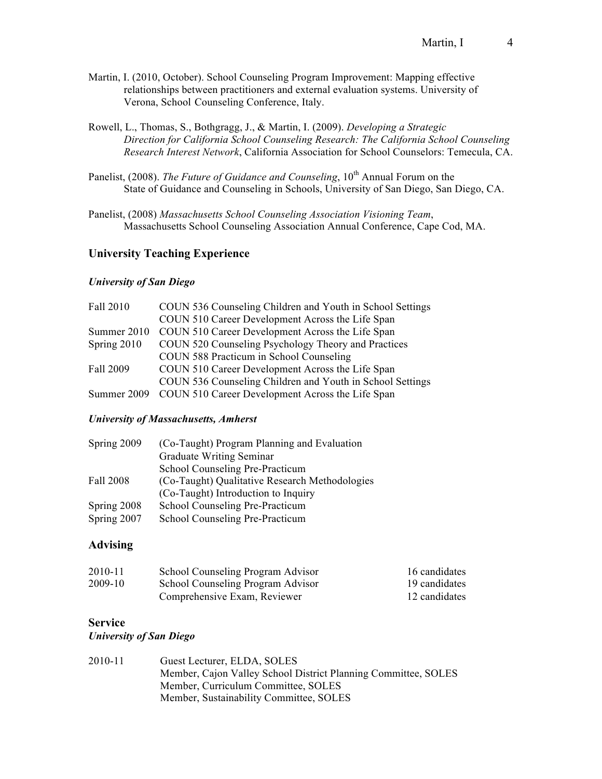- Martin, I. (2010, October). School Counseling Program Improvement: Mapping effective relationships between practitioners and external evaluation systems. University of Verona, School Counseling Conference, Italy.
- Rowell, L., Thomas, S., Bothgragg, J., & Martin, I. (2009). *Developing a Strategic Direction for California School Counseling Research: The California School Counseling Research Interest Network*, California Association for School Counselors: Temecula, CA.
- Panelist, (2008). *The Future of Guidance and Counseling*, 10<sup>th</sup> Annual Forum on the State of Guidance and Counseling in Schools, University of San Diego, San Diego, CA.
- Panelist, (2008) *Massachusetts School Counseling Association Visioning Team*, Massachusetts School Counseling Association Annual Conference, Cape Cod, MA.

### **University Teaching Experience**

### *University of San Diego*

| Fall 2010     | COUN 536 Counseling Children and Youth in School Settings |
|---------------|-----------------------------------------------------------|
|               | COUN 510 Career Development Across the Life Span          |
| Summer 2010   | COUN 510 Career Development Across the Life Span          |
| Spring $2010$ | COUN 520 Counseling Psychology Theory and Practices       |
|               | COUN 588 Practicum in School Counseling                   |
| Fall 2009     | COUN 510 Career Development Across the Life Span          |
|               | COUN 536 Counseling Children and Youth in School Settings |
| Summer 2009   | COUN 510 Career Development Across the Life Span          |

### *University of Massachusetts, Amherst*

| Spring 2009 | (Co-Taught) Program Planning and Evaluation    |
|-------------|------------------------------------------------|
|             | Graduate Writing Seminar                       |
|             | School Counseling Pre-Practicum                |
| Fall 2008   | (Co-Taught) Qualitative Research Methodologies |
|             | (Co-Taught) Introduction to Inquiry            |
| Spring 2008 | School Counseling Pre-Practicum                |
| Spring 2007 | School Counseling Pre-Practicum                |

# **Advising**

| 2010-11 | School Counseling Program Advisor | 16 candidates |
|---------|-----------------------------------|---------------|
| 2009-10 | School Counseling Program Advisor | 19 candidates |
|         | Comprehensive Exam, Reviewer      | 12 candidates |

# **Service**

#### *University of San Diego*

| 2010-11 | Guest Lecturer, ELDA, SOLES                                    |
|---------|----------------------------------------------------------------|
|         | Member, Cajon Valley School District Planning Committee, SOLES |
|         | Member, Curriculum Committee, SOLES                            |
|         | Member, Sustainability Committee, SOLES                        |